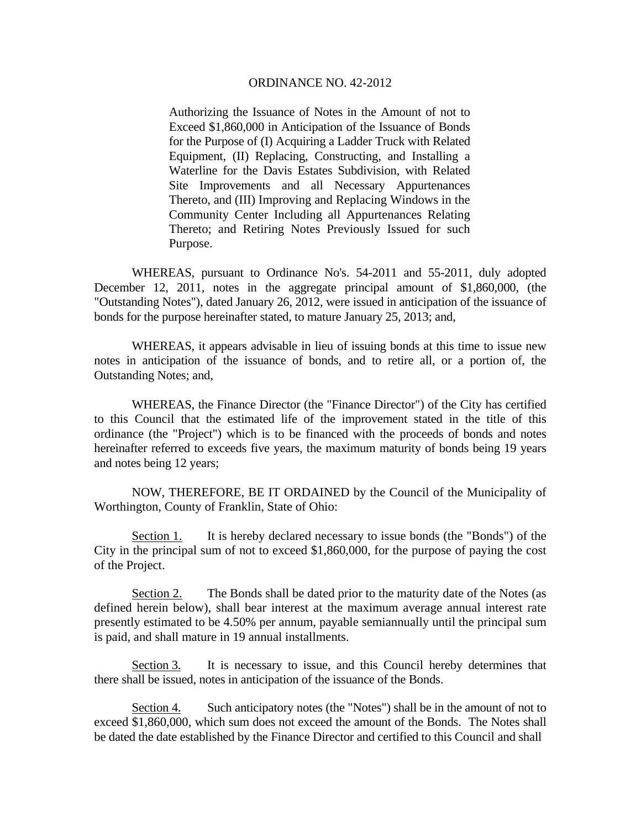## ORDINANCE NO. 42-2012

Authorizing the Issuance of Notes in the Amount of not to Exceed \$1,860,000 in Anticipation of the Issuance of Bonds for the Purpose of (I) Acquiring a Ladder Truck with Related Equipment, (II) Replacing, Constructing, and Installing a Waterline for the Davis Estates Subdivision, with Related Site Improvements and all Necessary Appurtenances Thereto, and (III) Improving and Replacing Windows in the Community Center Including all Appurtenances Relating Thereto; and Retiring Notes Previously Issued for such Purpose.

 WHEREAS, pursuant to Ordinance No's. 54-2011 and 55-2011, duly adopted December 12, 2011, notes in the aggregate principal amount of \$1,860,000, (the "Outstanding Notes"), dated January 26, 2012, were issued in anticipation of the issuance of bonds for the purpose hereinafter stated, to mature January 25, 2013; and,

 WHEREAS, it appears advisable in lieu of issuing bonds at this time to issue new notes in anticipation of the issuance of bonds, and to retire all, or a portion of, the Outstanding Notes; and,

 WHEREAS, the Finance Director (the "Finance Director") of the City has certified to this Council that the estimated life of the improvement stated in the title of this ordinance (the "Project") which is to be financed with the proceeds of bonds and notes hereinafter referred to exceeds five years, the maximum maturity of bonds being 19 years and notes being 12 years;

NOW, THEREFORE, BE IT ORDAINED by the Council of the Municipality of Worthington, County of Franklin, State of Ohio:

Section 1. It is hereby declared necessary to issue bonds (the "Bonds") of the City in the principal sum of not to exceed \$1,860,000, for the purpose of paying the cost of the Project.

Section 2. The Bonds shall be dated prior to the maturity date of the Notes (as defined herein below), shall bear interest at the maximum average annual interest rate presently estimated to be 4.50% per annum, payable semiannually until the principal sum is paid, and shall mature in 19 annual installments.

Section 3. It is necessary to issue, and this Council hereby determines that there shall be issued, notes in anticipation of the issuance of the Bonds.

Section 4. Such anticipatory notes (the "Notes") shall be in the amount of not to exceed \$1,860,000, which sum does not exceed the amount of the Bonds. The Notes shall be dated the date established by the Finance Director and certified to this Council and shall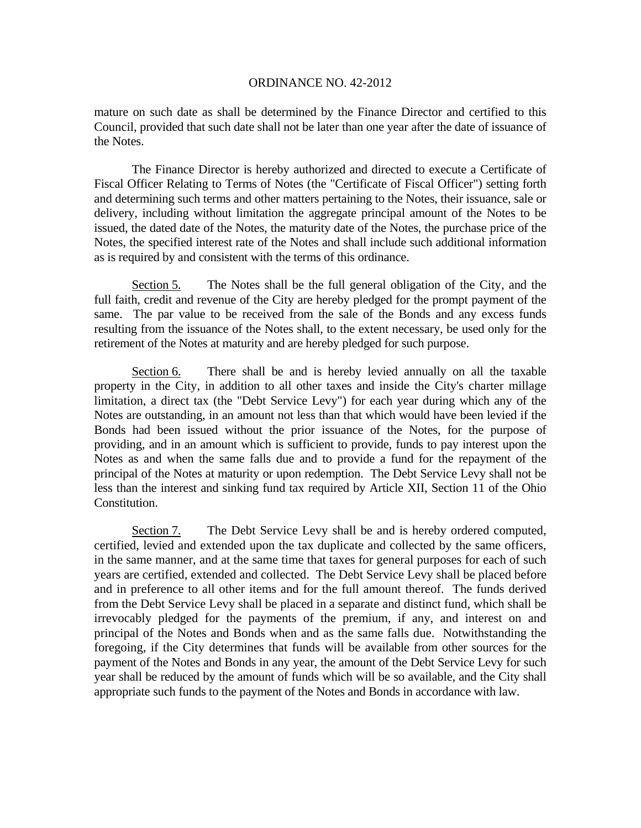## ORDINANCE NO. 42-2012

mature on such date as shall be determined by the Finance Director and certified to this Council, provided that such date shall not be later than one year after the date of issuance of the Notes.

 The Finance Director is hereby authorized and directed to execute a Certificate of Fiscal Officer Relating to Terms of Notes (the "Certificate of Fiscal Officer") setting forth and determining such terms and other matters pertaining to the Notes, their issuance, sale or delivery, including without limitation the aggregate principal amount of the Notes to be issued, the dated date of the Notes, the maturity date of the Notes, the purchase price of the Notes, the specified interest rate of the Notes and shall include such additional information as is required by and consistent with the terms of this ordinance.

Section 5. The Notes shall be the full general obligation of the City, and the full faith, credit and revenue of the City are hereby pledged for the prompt payment of the same. The par value to be received from the sale of the Bonds and any excess funds resulting from the issuance of the Notes shall, to the extent necessary, be used only for the retirement of the Notes at maturity and are hereby pledged for such purpose.

Section 6. There shall be and is hereby levied annually on all the taxable property in the City, in addition to all other taxes and inside the City's charter millage limitation, a direct tax (the "Debt Service Levy") for each year during which any of the Notes are outstanding, in an amount not less than that which would have been levied if the Bonds had been issued without the prior issuance of the Notes, for the purpose of providing, and in an amount which is sufficient to provide, funds to pay interest upon the Notes as and when the same falls due and to provide a fund for the repayment of the principal of the Notes at maturity or upon redemption. The Debt Service Levy shall not be less than the interest and sinking fund tax required by Article XII, Section 11 of the Ohio Constitution.

Section 7. The Debt Service Levy shall be and is hereby ordered computed, certified, levied and extended upon the tax duplicate and collected by the same officers, in the same manner, and at the same time that taxes for general purposes for each of such years are certified, extended and collected. The Debt Service Levy shall be placed before and in preference to all other items and for the full amount thereof. The funds derived from the Debt Service Levy shall be placed in a separate and distinct fund, which shall be irrevocably pledged for the payments of the premium, if any, and interest on and principal of the Notes and Bonds when and as the same falls due. Notwithstanding the foregoing, if the City determines that funds will be available from other sources for the payment of the Notes and Bonds in any year, the amount of the Debt Service Levy for such year shall be reduced by the amount of funds which will be so available, and the City shall appropriate such funds to the payment of the Notes and Bonds in accordance with law.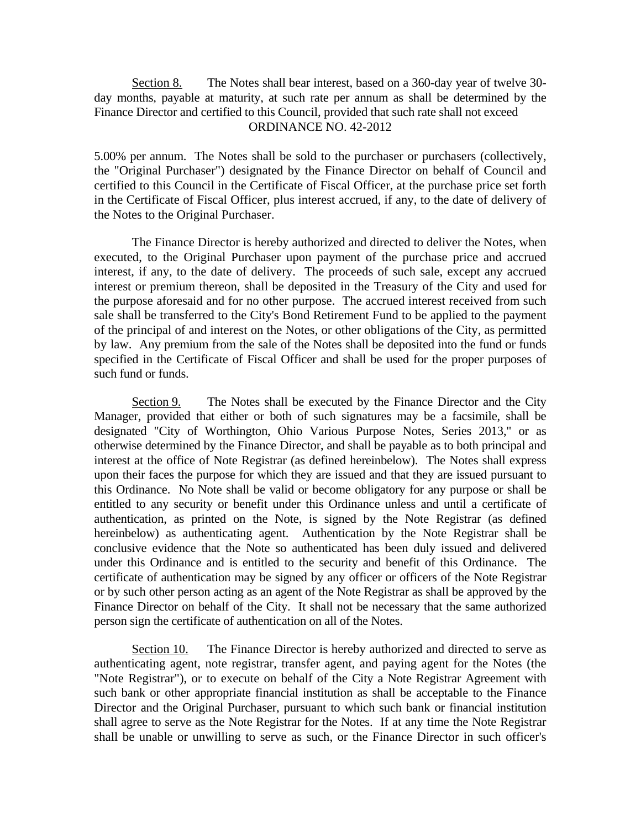Section 8. The Notes shall bear interest, based on a 360-day year of twelve 30day months, payable at maturity, at such rate per annum as shall be determined by the Finance Director and certified to this Council, provided that such rate shall not exceed ORDINANCE NO. 42-2012

5.00% per annum. The Notes shall be sold to the purchaser or purchasers (collectively, the "Original Purchaser") designated by the Finance Director on behalf of Council and certified to this Council in the Certificate of Fiscal Officer, at the purchase price set forth in the Certificate of Fiscal Officer, plus interest accrued, if any, to the date of delivery of the Notes to the Original Purchaser.

 The Finance Director is hereby authorized and directed to deliver the Notes, when executed, to the Original Purchaser upon payment of the purchase price and accrued interest, if any, to the date of delivery. The proceeds of such sale, except any accrued interest or premium thereon, shall be deposited in the Treasury of the City and used for the purpose aforesaid and for no other purpose. The accrued interest received from such sale shall be transferred to the City's Bond Retirement Fund to be applied to the payment of the principal of and interest on the Notes, or other obligations of the City, as permitted by law. Any premium from the sale of the Notes shall be deposited into the fund or funds specified in the Certificate of Fiscal Officer and shall be used for the proper purposes of such fund or funds.

Section 9. The Notes shall be executed by the Finance Director and the City Manager, provided that either or both of such signatures may be a facsimile, shall be designated "City of Worthington, Ohio Various Purpose Notes, Series 2013," or as otherwise determined by the Finance Director, and shall be payable as to both principal and interest at the office of Note Registrar (as defined hereinbelow). The Notes shall express upon their faces the purpose for which they are issued and that they are issued pursuant to this Ordinance. No Note shall be valid or become obligatory for any purpose or shall be entitled to any security or benefit under this Ordinance unless and until a certificate of authentication, as printed on the Note, is signed by the Note Registrar (as defined hereinbelow) as authenticating agent. Authentication by the Note Registrar shall be conclusive evidence that the Note so authenticated has been duly issued and delivered under this Ordinance and is entitled to the security and benefit of this Ordinance. The certificate of authentication may be signed by any officer or officers of the Note Registrar or by such other person acting as an agent of the Note Registrar as shall be approved by the Finance Director on behalf of the City. It shall not be necessary that the same authorized person sign the certificate of authentication on all of the Notes.

Section 10. The Finance Director is hereby authorized and directed to serve as authenticating agent, note registrar, transfer agent, and paying agent for the Notes (the "Note Registrar"), or to execute on behalf of the City a Note Registrar Agreement with such bank or other appropriate financial institution as shall be acceptable to the Finance Director and the Original Purchaser, pursuant to which such bank or financial institution shall agree to serve as the Note Registrar for the Notes. If at any time the Note Registrar shall be unable or unwilling to serve as such, or the Finance Director in such officer's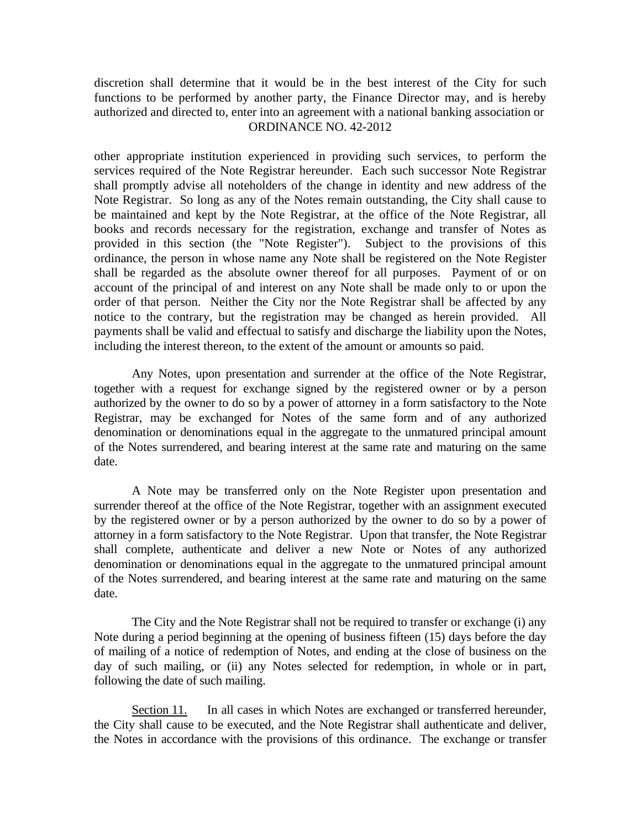discretion shall determine that it would be in the best interest of the City for such functions to be performed by another party, the Finance Director may, and is hereby authorized and directed to, enter into an agreement with a national banking association or ORDINANCE NO. 42-2012

other appropriate institution experienced in providing such services, to perform the services required of the Note Registrar hereunder. Each such successor Note Registrar shall promptly advise all noteholders of the change in identity and new address of the Note Registrar. So long as any of the Notes remain outstanding, the City shall cause to be maintained and kept by the Note Registrar, at the office of the Note Registrar, all books and records necessary for the registration, exchange and transfer of Notes as provided in this section (the "Note Register"). Subject to the provisions of this ordinance, the person in whose name any Note shall be registered on the Note Register shall be regarded as the absolute owner thereof for all purposes. Payment of or on account of the principal of and interest on any Note shall be made only to or upon the order of that person. Neither the City nor the Note Registrar shall be affected by any notice to the contrary, but the registration may be changed as herein provided. All payments shall be valid and effectual to satisfy and discharge the liability upon the Notes, including the interest thereon, to the extent of the amount or amounts so paid.

Any Notes, upon presentation and surrender at the office of the Note Registrar, together with a request for exchange signed by the registered owner or by a person authorized by the owner to do so by a power of attorney in a form satisfactory to the Note Registrar, may be exchanged for Notes of the same form and of any authorized denomination or denominations equal in the aggregate to the unmatured principal amount of the Notes surrendered, and bearing interest at the same rate and maturing on the same date.

A Note may be transferred only on the Note Register upon presentation and surrender thereof at the office of the Note Registrar, together with an assignment executed by the registered owner or by a person authorized by the owner to do so by a power of attorney in a form satisfactory to the Note Registrar. Upon that transfer, the Note Registrar shall complete, authenticate and deliver a new Note or Notes of any authorized denomination or denominations equal in the aggregate to the unmatured principal amount of the Notes surrendered, and bearing interest at the same rate and maturing on the same date.

The City and the Note Registrar shall not be required to transfer or exchange (i) any Note during a period beginning at the opening of business fifteen (15) days before the day of mailing of a notice of redemption of Notes, and ending at the close of business on the day of such mailing, or (ii) any Notes selected for redemption, in whole or in part, following the date of such mailing.

Section 11. In all cases in which Notes are exchanged or transferred hereunder, the City shall cause to be executed, and the Note Registrar shall authenticate and deliver, the Notes in accordance with the provisions of this ordinance. The exchange or transfer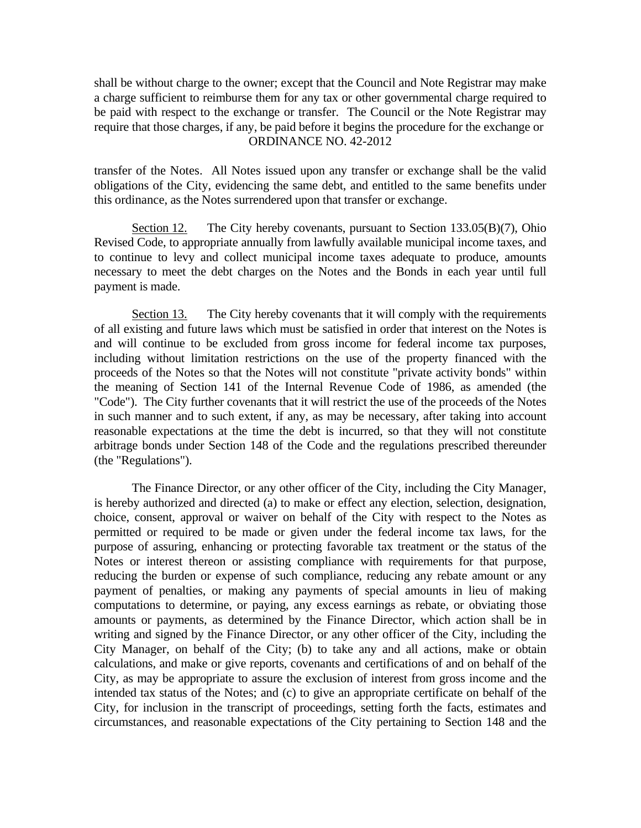shall be without charge to the owner; except that the Council and Note Registrar may make a charge sufficient to reimburse them for any tax or other governmental charge required to be paid with respect to the exchange or transfer. The Council or the Note Registrar may require that those charges, if any, be paid before it begins the procedure for the exchange or ORDINANCE NO. 42-2012

transfer of the Notes. All Notes issued upon any transfer or exchange shall be the valid obligations of the City, evidencing the same debt, and entitled to the same benefits under this ordinance, as the Notes surrendered upon that transfer or exchange.

Section 12. The City hereby covenants, pursuant to Section 133.05(B)(7), Ohio Revised Code, to appropriate annually from lawfully available municipal income taxes, and to continue to levy and collect municipal income taxes adequate to produce, amounts necessary to meet the debt charges on the Notes and the Bonds in each year until full payment is made.

Section 13. The City hereby covenants that it will comply with the requirements of all existing and future laws which must be satisfied in order that interest on the Notes is and will continue to be excluded from gross income for federal income tax purposes, including without limitation restrictions on the use of the property financed with the proceeds of the Notes so that the Notes will not constitute "private activity bonds" within the meaning of Section 141 of the Internal Revenue Code of 1986, as amended (the "Code"). The City further covenants that it will restrict the use of the proceeds of the Notes in such manner and to such extent, if any, as may be necessary, after taking into account reasonable expectations at the time the debt is incurred, so that they will not constitute arbitrage bonds under Section 148 of the Code and the regulations prescribed thereunder (the "Regulations").

 The Finance Director, or any other officer of the City, including the City Manager, is hereby authorized and directed (a) to make or effect any election, selection, designation, choice, consent, approval or waiver on behalf of the City with respect to the Notes as permitted or required to be made or given under the federal income tax laws, for the purpose of assuring, enhancing or protecting favorable tax treatment or the status of the Notes or interest thereon or assisting compliance with requirements for that purpose, reducing the burden or expense of such compliance, reducing any rebate amount or any payment of penalties, or making any payments of special amounts in lieu of making computations to determine, or paying, any excess earnings as rebate, or obviating those amounts or payments, as determined by the Finance Director, which action shall be in writing and signed by the Finance Director, or any other officer of the City, including the City Manager, on behalf of the City; (b) to take any and all actions, make or obtain calculations, and make or give reports, covenants and certifications of and on behalf of the City, as may be appropriate to assure the exclusion of interest from gross income and the intended tax status of the Notes; and (c) to give an appropriate certificate on behalf of the City, for inclusion in the transcript of proceedings, setting forth the facts, estimates and circumstances, and reasonable expectations of the City pertaining to Section 148 and the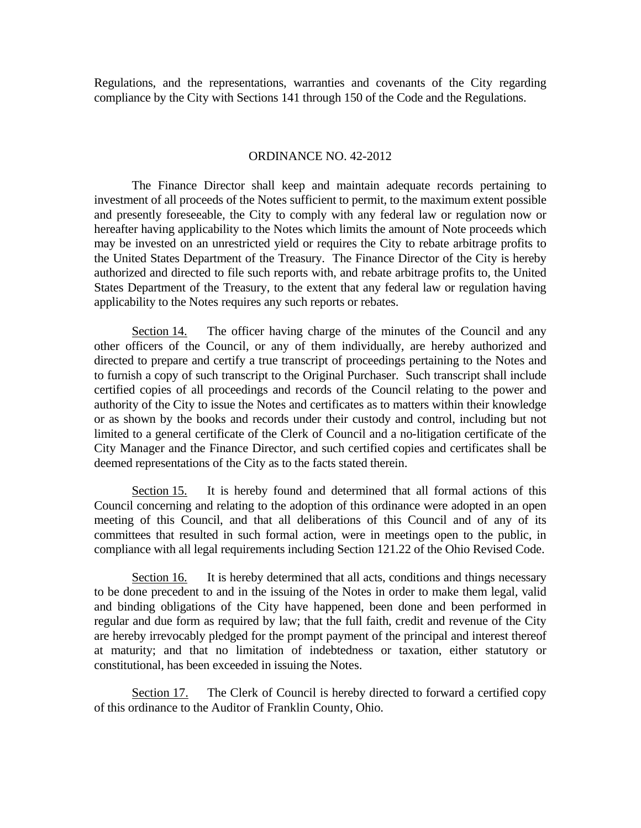Regulations, and the representations, warranties and covenants of the City regarding compliance by the City with Sections 141 through 150 of the Code and the Regulations.

## ORDINANCE NO. 42-2012

 The Finance Director shall keep and maintain adequate records pertaining to investment of all proceeds of the Notes sufficient to permit, to the maximum extent possible and presently foreseeable, the City to comply with any federal law or regulation now or hereafter having applicability to the Notes which limits the amount of Note proceeds which may be invested on an unrestricted yield or requires the City to rebate arbitrage profits to the United States Department of the Treasury. The Finance Director of the City is hereby authorized and directed to file such reports with, and rebate arbitrage profits to, the United States Department of the Treasury, to the extent that any federal law or regulation having applicability to the Notes requires any such reports or rebates.

Section 14. The officer having charge of the minutes of the Council and any other officers of the Council, or any of them individually, are hereby authorized and directed to prepare and certify a true transcript of proceedings pertaining to the Notes and to furnish a copy of such transcript to the Original Purchaser. Such transcript shall include certified copies of all proceedings and records of the Council relating to the power and authority of the City to issue the Notes and certificates as to matters within their knowledge or as shown by the books and records under their custody and control, including but not limited to a general certificate of the Clerk of Council and a no-litigation certificate of the City Manager and the Finance Director, and such certified copies and certificates shall be deemed representations of the City as to the facts stated therein.

Section 15. It is hereby found and determined that all formal actions of this Council concerning and relating to the adoption of this ordinance were adopted in an open meeting of this Council, and that all deliberations of this Council and of any of its committees that resulted in such formal action, were in meetings open to the public, in compliance with all legal requirements including Section 121.22 of the Ohio Revised Code.

Section 16. It is hereby determined that all acts, conditions and things necessary to be done precedent to and in the issuing of the Notes in order to make them legal, valid and binding obligations of the City have happened, been done and been performed in regular and due form as required by law; that the full faith, credit and revenue of the City are hereby irrevocably pledged for the prompt payment of the principal and interest thereof at maturity; and that no limitation of indebtedness or taxation, either statutory or constitutional, has been exceeded in issuing the Notes.

Section 17. The Clerk of Council is hereby directed to forward a certified copy of this ordinance to the Auditor of Franklin County, Ohio.